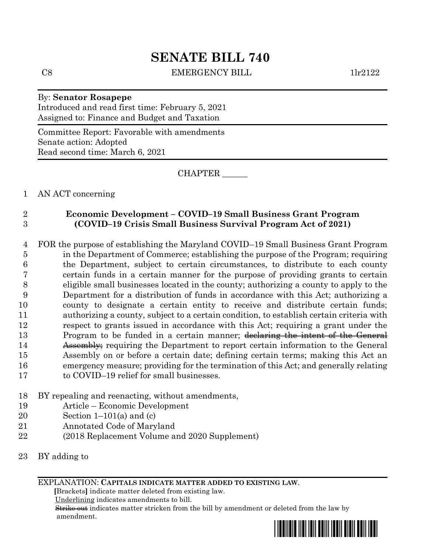## **SENATE BILL 740**

C8 EMERGENCY BILL 1lr2122

## By: **Senator Rosapepe** Introduced and read first time: February 5, 2021 Assigned to: Finance and Budget and Taxation

Committee Report: Favorable with amendments Senate action: Adopted Read second time: March 6, 2021

CHAPTER \_\_\_\_\_\_

1 AN ACT concerning

## 2 **Economic Development – COVID–19 Small Business Grant Program** 3 **(COVID–19 Crisis Small Business Survival Program Act of 2021)**

 FOR the purpose of establishing the Maryland COVID–19 Small Business Grant Program in the Department of Commerce; establishing the purpose of the Program; requiring the Department, subject to certain circumstances, to distribute to each county certain funds in a certain manner for the purpose of providing grants to certain eligible small businesses located in the county; authorizing a county to apply to the Department for a distribution of funds in accordance with this Act; authorizing a county to designate a certain entity to receive and distribute certain funds; authorizing a county, subject to a certain condition, to establish certain criteria with respect to grants issued in accordance with this Act; requiring a grant under the 13 Program to be funded in a certain manner; declaring the intent of the General 14 Assembly; requiring the Department to report certain information to the General Assembly on or before a certain date; defining certain terms; making this Act an emergency measure; providing for the termination of this Act; and generally relating to COVID–19 relief for small businesses.

- 18 BY repealing and reenacting, without amendments,
- 19 Article Economic Development
- 20 Section  $1-101(a)$  and (c)
- 21 Annotated Code of Maryland
- 22 (2018 Replacement Volume and 2020 Supplement)
- 23 BY adding to

EXPLANATION: **CAPITALS INDICATE MATTER ADDED TO EXISTING LAW**.

 **[**Brackets**]** indicate matter deleted from existing law.

Underlining indicates amendments to bill.

 Strike out indicates matter stricken from the bill by amendment or deleted from the law by amendment.

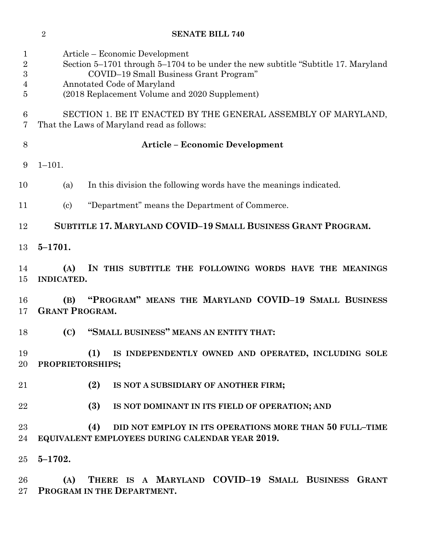|                                    | $\overline{2}$                                                                                              | <b>SENATE BILL 740</b>                                                                                                                                                                                                                        |
|------------------------------------|-------------------------------------------------------------------------------------------------------------|-----------------------------------------------------------------------------------------------------------------------------------------------------------------------------------------------------------------------------------------------|
| 1<br>$\overline{2}$<br>3<br>4<br>5 |                                                                                                             | Article – Economic Development<br>Section 5–1701 through 5–1704 to be under the new subtitle "Subtitle 17. Maryland"<br>COVID-19 Small Business Grant Program"<br>Annotated Code of Maryland<br>(2018 Replacement Volume and 2020 Supplement) |
| 6<br>7                             | SECTION 1. BE IT ENACTED BY THE GENERAL ASSEMBLY OF MARYLAND,<br>That the Laws of Maryland read as follows: |                                                                                                                                                                                                                                               |
| $8\,$                              |                                                                                                             | <b>Article – Economic Development</b>                                                                                                                                                                                                         |
| 9                                  | $1 - 101.$                                                                                                  |                                                                                                                                                                                                                                               |
| 10                                 | (a)                                                                                                         | In this division the following words have the meanings indicated.                                                                                                                                                                             |
| 11                                 | $\left( \mathrm{c}\right)$                                                                                  | "Department" means the Department of Commerce.                                                                                                                                                                                                |
| 12                                 |                                                                                                             | SUBTITLE 17. MARYLAND COVID-19 SMALL BUSINESS GRANT PROGRAM.                                                                                                                                                                                  |
| 13                                 | $5 - 1701.$                                                                                                 |                                                                                                                                                                                                                                               |
| 14<br>15                           | (A)<br><b>INDICATED.</b>                                                                                    | IN THIS SUBTITLE THE FOLLOWING WORDS HAVE THE MEANINGS                                                                                                                                                                                        |
| 16<br>17                           | (B)<br><b>GRANT PROGRAM.</b>                                                                                | "PROGRAM" MEANS THE MARYLAND COVID-19 SMALL BUSINESS                                                                                                                                                                                          |
| 18                                 | (C)                                                                                                         | "SMALL BUSINESS" MEANS AN ENTITY THAT:                                                                                                                                                                                                        |
| 19<br>20                           | PROPRIETORSHIPS;                                                                                            | (1)<br>IS INDEPENDENTLY OWNED AND OPERATED, INCLUDING SOLE                                                                                                                                                                                    |
| 21                                 |                                                                                                             | (2)<br>IS NOT A SUBSIDIARY OF ANOTHER FIRM;                                                                                                                                                                                                   |
| 22                                 |                                                                                                             | (3)<br>IS NOT DOMINANT IN ITS FIELD OF OPERATION; AND                                                                                                                                                                                         |
| $23\,$<br>24                       |                                                                                                             | (4)<br>DID NOT EMPLOY IN ITS OPERATIONS MORE THAN 50 FULL-TIME<br>EQUIVALENT EMPLOYEES DURING CALENDAR YEAR 2019.                                                                                                                             |
| $25\,$                             | $5 - 1702.$                                                                                                 |                                                                                                                                                                                                                                               |
| 26<br>$27\,$                       | (A)                                                                                                         | THERE IS A MARYLAND COVID-19 SMALL BUSINESS GRANT<br>PROGRAM IN THE DEPARTMENT.                                                                                                                                                               |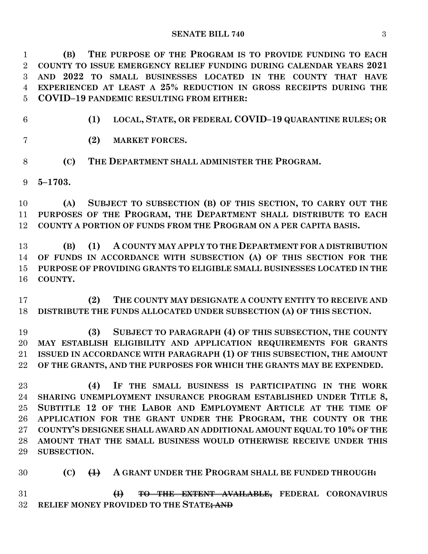**(B) THE PURPOSE OF THE PROGRAM IS TO PROVIDE FUNDING TO EACH COUNTY TO ISSUE EMERGENCY RELIEF FUNDING DURING CALENDAR YEARS 2021 AND 2022 TO SMALL BUSINESSES LOCATED IN THE COUNTY THAT HAVE EXPERIENCED AT LEAST A 25% REDUCTION IN GROSS RECEIPTS DURING THE COVID–19 PANDEMIC RESULTING FROM EITHER:**

**(1) LOCAL, STATE, OR FEDERAL COVID–19 QUARANTINE RULES; OR**

**(2) MARKET FORCES.**

**(C) THE DEPARTMENT SHALL ADMINISTER THE PROGRAM.**

**5–1703.**

 **(A) SUBJECT TO SUBSECTION (B) OF THIS SECTION, TO CARRY OUT THE PURPOSES OF THE PROGRAM, THE DEPARTMENT SHALL DISTRIBUTE TO EACH COUNTY A PORTION OF FUNDS FROM THE PROGRAM ON A PER CAPITA BASIS.**

 **(B) (1) A COUNTY MAY APPLY TO THE DEPARTMENT FOR A DISTRIBUTION OF FUNDS IN ACCORDANCE WITH SUBSECTION (A) OF THIS SECTION FOR THE PURPOSE OF PROVIDING GRANTS TO ELIGIBLE SMALL BUSINESSES LOCATED IN THE COUNTY.**

 **(2) THE COUNTY MAY DESIGNATE A COUNTY ENTITY TO RECEIVE AND DISTRIBUTE THE FUNDS ALLOCATED UNDER SUBSECTION (A) OF THIS SECTION.**

 **(3) SUBJECT TO PARAGRAPH (4) OF THIS SUBSECTION, THE COUNTY MAY ESTABLISH ELIGIBILITY AND APPLICATION REQUIREMENTS FOR GRANTS ISSUED IN ACCORDANCE WITH PARAGRAPH (1) OF THIS SUBSECTION, THE AMOUNT OF THE GRANTS, AND THE PURPOSES FOR WHICH THE GRANTS MAY BE EXPENDED.**

 **(4) IF THE SMALL BUSINESS IS PARTICIPATING IN THE WORK SHARING UNEMPLOYMENT INSURANCE PROGRAM ESTABLISHED UNDER TITLE 8, SUBTITLE 12 OF THE LABOR AND EMPLOYMENT ARTICLE AT THE TIME OF APPLICATION FOR THE GRANT UNDER THE PROGRAM, THE COUNTY OR THE COUNTY'S DESIGNEE SHALL AWARD AN ADDITIONAL AMOUNT EQUAL TO 10% OF THE AMOUNT THAT THE SMALL BUSINESS WOULD OTHERWISE RECEIVE UNDER THIS SUBSECTION.**

**(C) (1) A GRANT UNDER THE PROGRAM SHALL BE FUNDED THROUGH:**

 **(I) TO THE EXTENT AVAILABLE, FEDERAL CORONAVIRUS RELIEF MONEY PROVIDED TO THE STATE; AND**